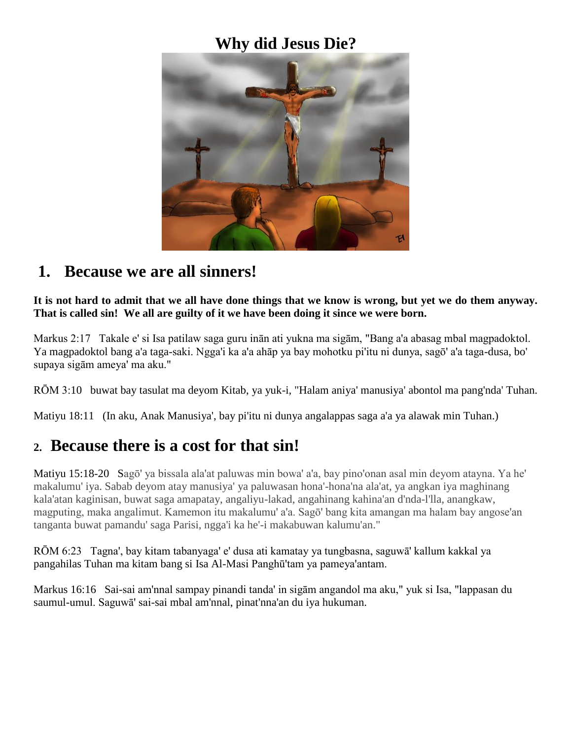## **Why did Jesus Die?**



## **1. Because we are all sinners!**

**It is not hard to admit that we all have done things that we know is wrong, but yet we do them anyway. That is called sin! We all are guilty of it we have been doing it since we were born.**

Markus 2:17 Takale e' si Isa patilaw saga guru inān ati yukna ma sigām, "Bang a'a abasag mbal magpadoktol. Ya magpadoktol bang a'a taga-saki. Ngga'i ka a'a ahāp ya bay mohotku pi'itu ni dunya, sagō' a'a taga-dusa, bo' supaya sigām ameya' ma aku."

RŌM 3:10 buwat bay tasulat ma deyom Kitab, ya yuk-i, "Halam aniya' manusiya' abontol ma pang'nda' Tuhan.

Matiyu 18:11 (In aku, Anak Manusiya', bay pi'itu ni dunya angalappas saga a'a ya alawak min Tuhan.)

#### **2. Because there is a cost for that sin!**

Matiyu 15:18-20 Sagō' ya bissala ala'at paluwas min bowa' a'a, bay pino'onan asal min deyom atayna. Ya he' makalumu' iya. Sabab deyom atay manusiya' ya paluwasan hona'-hona'na ala'at, ya angkan iya maghinang kala'atan kaginisan, buwat saga amapatay, angaliyu-lakad, angahinang kahina'an d'nda-l'lla, anangkaw, magputing, maka angalimut. Kamemon itu makalumu' a'a. Sagō' bang kita amangan ma halam bay angose'an tanganta buwat pamandu' saga Parisi, ngga'i ka he'-i makabuwan kalumu'an."

RŌM 6:23 Tagna', bay kitam tabanyaga' e' dusa ati kamatay ya tungbasna, saguwā' kallum kakkal ya pangahilas Tuhan ma kitam bang si Isa Al-Masi Panghū'tam ya pameya'antam.

Markus 16:16 Sai-sai am'nnal sampay pinandi tanda' in sigām angandol ma aku," yuk si Isa, "lappasan du saumul-umul. Saguwā' sai-sai mbal am'nnal, pinat'nna'an du iya hukuman.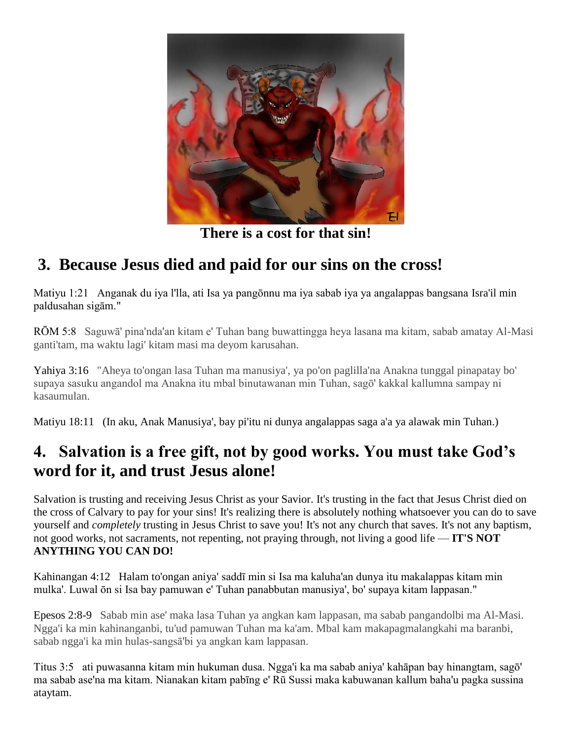

**There is a cost for that sin!**

## **3. Because Jesus died and paid for our sins on the cross!**

Matiyu 1:21 Anganak du iya l'lla, ati Isa ya pangōnnu ma iya sabab iya ya angalappas bangsana Isra'il min paldusahan sigām."

RŌM 5:8 Saguwā' pina'nda'an kitam e' Tuhan bang buwattingga heya lasana ma kitam, sabab amatay Al-Masi ganti'tam, ma waktu lagi' kitam masi ma deyom karusahan.

Yahiya 3:16 "Aheya to'ongan lasa Tuhan ma manusiya', ya po'on paglilla'na Anakna tunggal pinapatay bo' supaya sasuku angandol ma Anakna itu mbal binutawanan min Tuhan, sagō' kakkal kallumna sampay ni kasaumulan.

Matiyu 18:11 (In aku, Anak Manusiya', bay pi'itu ni dunya angalappas saga a'a ya alawak min Tuhan.)

## **4. Salvation is a free gift, not by good works. You must take God's word for it, and trust Jesus alone!**

Salvation is trusting and receiving Jesus Christ as your Savior. It's trusting in the fact that Jesus Christ died on the cross of Calvary to pay for your sins! It's realizing there is absolutely nothing whatsoever you can do to save yourself and *completely* trusting in Jesus Christ to save you! It's not any church that saves. It's not any baptism, not good works, not sacraments, not repenting, not praying through, not living a good life — **IT'S NOT ANYTHING YOU CAN DO!**

Kahinangan 4:12 Halam to'ongan aniya' saddī min si Isa ma kaluha'an dunya itu makalappas kitam min mulka'. Luwal ōn si Isa bay pamuwan e' Tuhan panabbutan manusiya', bo' supaya kitam lappasan."

Epesos 2:8-9 Sabab min ase' maka lasa Tuhan ya angkan kam lappasan, ma sabab pangandolbi ma Al-Masi. Ngga'i ka min kahinanganbi, tu'ud pamuwan Tuhan ma ka'am. Mbal kam makapagmalangkahi ma baranbi, sabab ngga'i ka min hulas-sangsā'bi ya angkan kam lappasan.

Titus 3:5 ati puwasanna kitam min hukuman dusa. Ngga'i ka ma sabab aniya' kahāpan bay hinangtam, sagō' ma sabab ase'na ma kitam. Nianakan kitam pabīng e' Rū Sussi maka kabuwanan kallum baha'u pagka sussina ataytam.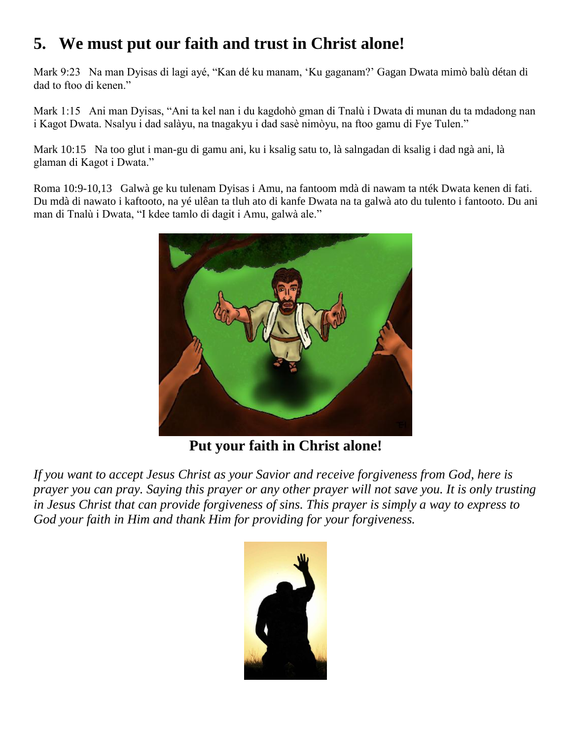# **5. We must put our faith and trust in Christ alone!**

Mark 9:23 Na man Dyisas di lagi ayé, "Kan dé ku manam, 'Ku gaganam?' Gagan Dwata mimò balù détan di dad to ftoo di kenen."

Mark 1:15 Ani man Dyisas, "Ani ta kel nan i du kagdohò gman di Tnalù i Dwata di munan du ta mdadong nan i Kagot Dwata. Nsalyu i dad salàyu, na tnagakyu i dad sasè nimòyu, na ftoo gamu di Fye Tulen."

Mark 10:15 Na too glut i man-gu di gamu ani, ku i ksalig satu to, là salngadan di ksalig i dad ngà ani, là glaman di Kagot i Dwata."

Roma 10:9-10,13 Galwà ge ku tulenam Dyisas i Amu, na fantoom mdà di nawam ta nték Dwata kenen di fati. Du mdà di nawato i kaftooto, na yé ulêan ta tluh ato di kanfe Dwata na ta galwà ato du tulento i fantooto. Du ani man di Tnalù i Dwata, "I kdee tamlo di dagit i Amu, galwà ale."



**Put your faith in Christ alone!**

*If you want to accept Jesus Christ as your Savior and receive forgiveness from God, here is prayer you can pray. Saying this prayer or any other prayer will not save you. It is only trusting in Jesus Christ that can provide forgiveness of sins. This prayer is simply a way to express to God your faith in Him and thank Him for providing for your forgiveness.*